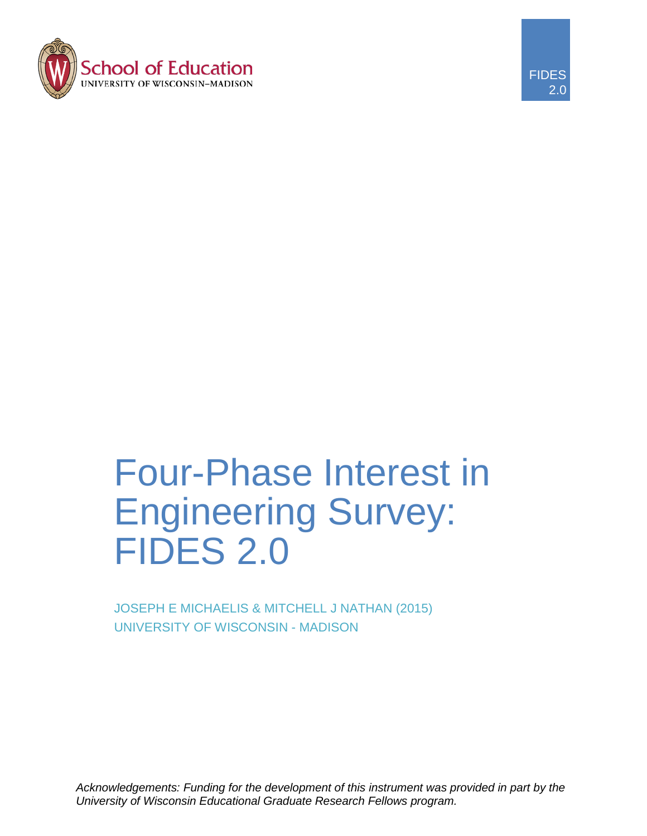



## Four-Phase Interest in Engineering Survey: FIDES 2.0

JOSEPH E MICHAELIS & MITCHELL J NATHAN (2015) UNIVERSITY OF WISCONSIN - MADISON

*Acknowledgements: Funding for the development of this instrument was provided in part by the University of Wisconsin Educational Graduate Research Fellows program.*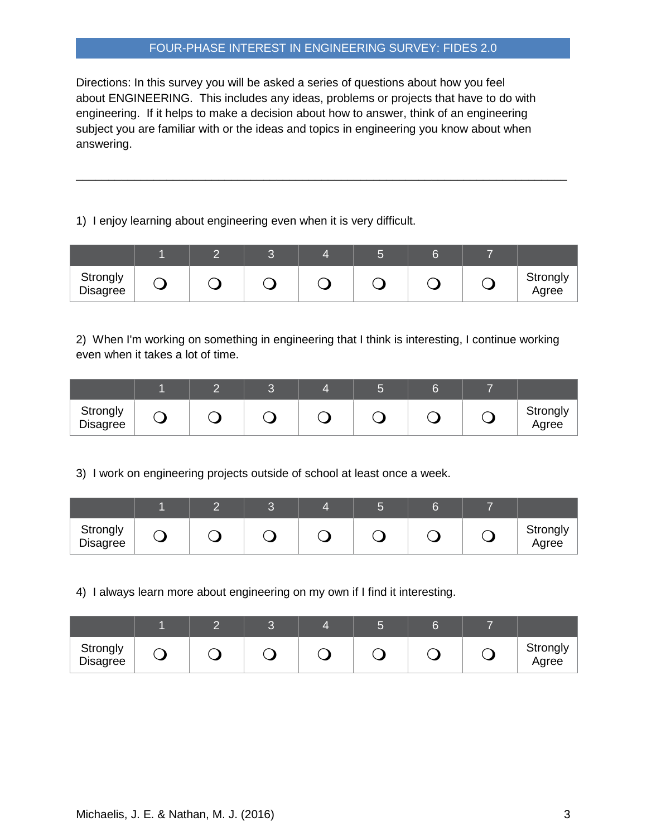## FOUR-PHASE INTEREST IN ENGINEERING SURVEY: FIDES 2.0

Directions: In this survey you will be asked a series of questions about how you feel about ENGINEERING. This includes any ideas, problems or projects that have to do with engineering. If it helps to make a decision about how to answer, think of an engineering subject you are familiar with or the ideas and topics in engineering you know about when answering.

1) I enjoy learning about engineering even when it is very difficult.

| Strongly<br>Disagree |  |  |  | Strongly<br>Agree |
|----------------------|--|--|--|-------------------|

\_\_\_\_\_\_\_\_\_\_\_\_\_\_\_\_\_\_\_\_\_\_\_\_\_\_\_\_\_\_\_\_\_\_\_\_\_\_\_\_\_\_\_\_\_\_\_\_\_\_\_\_\_\_\_\_\_\_\_\_\_\_\_\_\_\_\_\_\_\_\_\_\_\_\_\_

2) When I'm working on something in engineering that I think is interesting, I continue working even when it takes a lot of time.

|                             |  |  | ≂ |                   |
|-----------------------------|--|--|---|-------------------|
| Strongly<br><b>Disagree</b> |  |  |   | Strongly<br>Agree |

3) I work on engineering projects outside of school at least once a week.

| Strongly<br>Disagree |  |  |  | Strongly<br>Agree |
|----------------------|--|--|--|-------------------|

4) I always learn more about engineering on my own if I find it interesting.

| Strongly<br>Disagree |  |  |  | Strongly<br>Agree |
|----------------------|--|--|--|-------------------|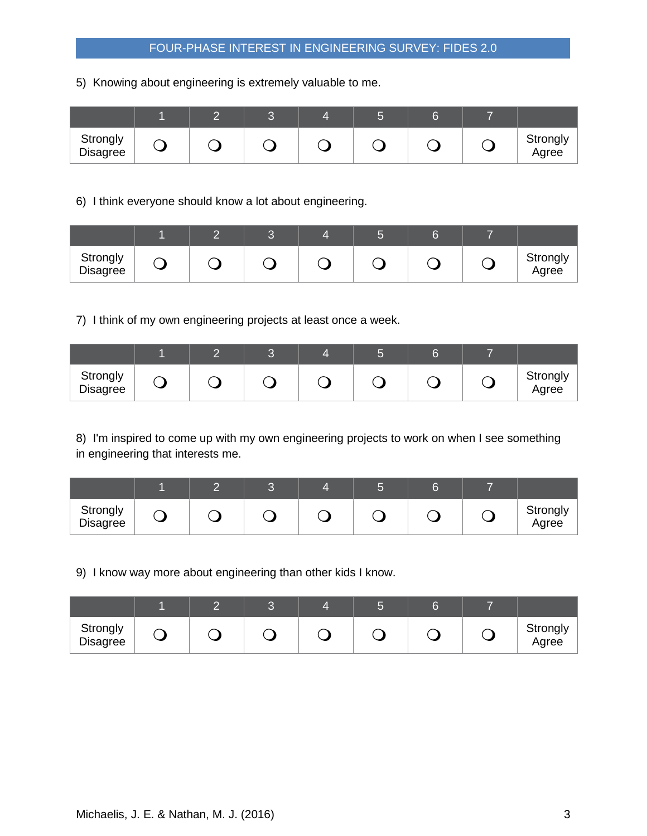5) Knowing about engineering is extremely valuable to me.

| Strongly<br>Disagree |  |  |  | Strongly<br>Agree |
|----------------------|--|--|--|-------------------|

6) I think everyone should know a lot about engineering.

|                      | ∼ | ∼<br>œ. |  |  |                   |
|----------------------|---|---------|--|--|-------------------|
| Strongly<br>Disagree |   |         |  |  | Strongly<br>Agree |

7) I think of my own engineering projects at least once a week.

|                      | ∼ |  |  |                   |
|----------------------|---|--|--|-------------------|
| Strongly<br>Disagree |   |  |  | Strongly<br>Agree |

8) I'm inspired to come up with my own engineering projects to work on when I see something in engineering that interests me.

|                             | ≂ | ≂ |  |  |                   |
|-----------------------------|---|---|--|--|-------------------|
| Strongly<br><b>Disagree</b> |   |   |  |  | Strongly<br>Agree |

9) I know way more about engineering than other kids I know.

| Strongly<br><b>Disagree</b> | ÷ |  |  |  | Strongly<br>Agree |
|-----------------------------|---|--|--|--|-------------------|